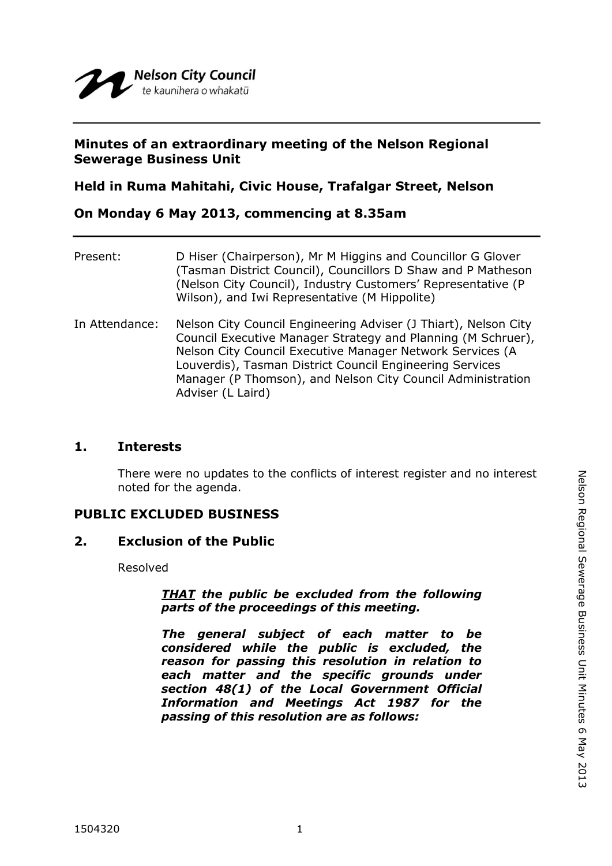# **Minutes of an extraordinary meeting of the Nelson Regional Sewerage Business Unit**

# **Held in Ruma Mahitahi, Civic House, Trafalgar Street, Nelson**

# **On Monday 6 May 2013, commencing at 8.35am**

| Present:       | D Hiser (Chairperson), Mr M Higgins and Councillor G Glover<br>(Tasman District Council), Councillors D Shaw and P Matheson<br>(Nelson City Council), Industry Customers' Representative (P<br>Wilson), and Iwi Representative (M Hippolite)                                                                                                 |
|----------------|----------------------------------------------------------------------------------------------------------------------------------------------------------------------------------------------------------------------------------------------------------------------------------------------------------------------------------------------|
| In Attendance: | Nelson City Council Engineering Adviser (J Thiart), Nelson City<br>Council Executive Manager Strategy and Planning (M Schruer),<br>Nelson City Council Executive Manager Network Services (A<br>Louverdis), Tasman District Council Engineering Services<br>Manager (P Thomson), and Nelson City Council Administration<br>Adviser (L Laird) |

## **1. Interests**

There were no updates to the conflicts of interest register and no interest noted for the agenda.

## **PUBLIC EXCLUDED BUSINESS**

### **2. Exclusion of the Public**

Resolved

### *THAT the public be excluded from the following parts of the proceedings of this meeting.*

*The general subject of each matter to be considered while the public is excluded, the reason for passing this resolution in relation to each matter and the specific grounds under section 48(1) of the Local Government Official Information and Meetings Act 1987 for the passing of this resolution are as follows:*